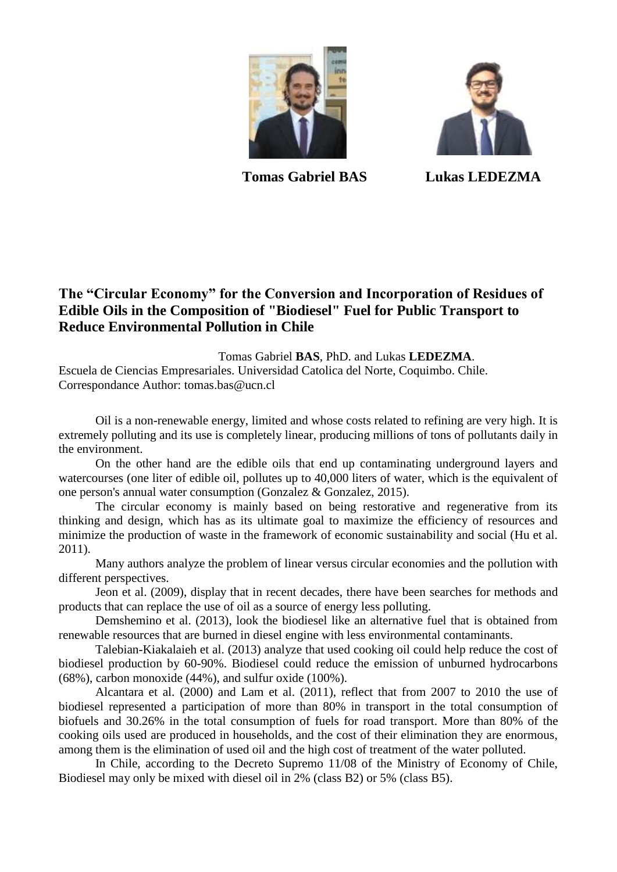



**Tomas Gabriel BAS Lukas LEDEZMA**

## **The "Circular Economy" for the Conversion and Incorporation of Residues of Edible Oils in the Composition of "Biodiesel" Fuel for Public Transport to Reduce Environmental Pollution in Chile**

Tomas Gabriel **BAS**, PhD. and Lukas **LEDEZMA**. Escuela de Ciencias Empresariales. Universidad Catolica del Norte, Coquimbo. Chile. Correspondance Author: tomas.bas@ucn.cl

Oil is a non-renewable energy, limited and whose costs related to refining are very high. It is extremely polluting and its use is completely linear, producing millions of tons of pollutants daily in the environment.

On the other hand are the edible oils that end up contaminating underground layers and watercourses (one liter of edible oil, pollutes up to 40,000 liters of water, which is the equivalent of one person's annual water consumption (Gonzalez & Gonzalez, 2015).

The circular economy is mainly based on being restorative and regenerative from its thinking and design, which has as its ultimate goal to maximize the efficiency of resources and minimize the production of waste in the framework of economic sustainability and social (Hu et al. 2011).

Many authors analyze the problem of linear versus circular economies and the pollution with different perspectives.

Jeon et al. (2009), display that in recent decades, there have been searches for methods and products that can replace the use of oil as a source of energy less polluting.

Demshemino et al. (2013), look the biodiesel like an alternative fuel that is obtained from renewable resources that are burned in diesel engine with less environmental contaminants.

Talebian-Kiakalaieh et al. (2013) analyze that used cooking oil could help reduce the cost of biodiesel production by 60-90%. Biodiesel could reduce the emission of unburned hydrocarbons (68%), carbon monoxide (44%), and sulfur oxide (100%).

Alcantara et al. (2000) and Lam et al. (2011), reflect that from 2007 to 2010 the use of biodiesel represented a participation of more than 80% in transport in the total consumption of biofuels and 30.26% in the total consumption of fuels for road transport. More than 80% of the cooking oils used are produced in households, and the cost of their elimination they are enormous, among them is the elimination of used oil and the high cost of treatment of the water polluted.

In Chile, according to the Decreto Supremo 11/08 of the Ministry of Economy of Chile, Biodiesel may only be mixed with diesel oil in 2% (class B2) or 5% (class B5).